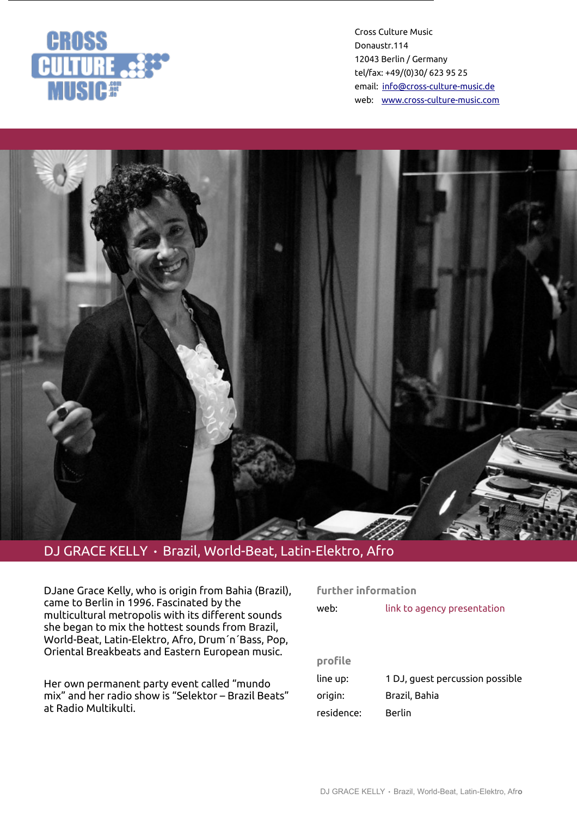

Cross Culture Music Donaustr.114 12043 Berlin / Germany tel/fax: +49/(0)30/ 623 95 25 email: [info@cross-culture-music.de](mailto:info@cross-culture-music.de) web: [www.cross-culture-music.com](http://cross-culture-music.com/)



## DJ GRACE KELLY • Brazil, World-Beat, Latin-Elektro, Afro

DJane Grace Kelly, who is origin from Bahia (Brazil), came to Berlin in 1996. Fascinated by the multicultural metropolis with its different sounds she began to mix the hottest sounds from Brazil, World-Beat, Latin-Elektro, Afro, Drum´n´Bass, Pop, Oriental Breakbeats and Eastern European music.

Her own permanent party event called "mundo mix" and her radio show is "Selektor – Brazil Beats" at Radio Multikulti.

| further information |                                 |
|---------------------|---------------------------------|
| web:                | link to agency presentation     |
|                     |                                 |
|                     |                                 |
| profile             |                                 |
| line up:            | 1 DJ, guest percussion possible |

origin: Brazil, Bahia

residence: Berlin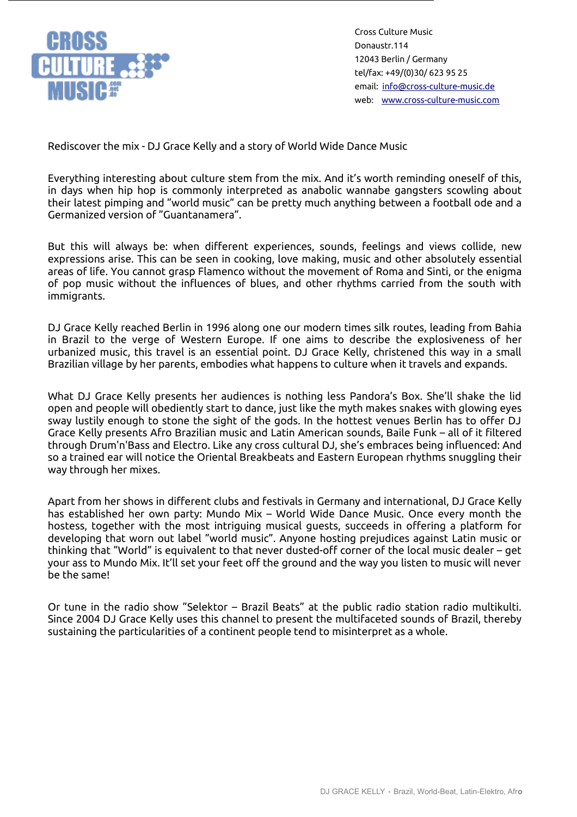

Cross Culture Music Donaustr.114 12043 Berlin / Germany tel/fax: +49/(0)30/ 623 95 25 email: [info@cross-culture-music.de](mailto:info@cross-culture-music.de) web: [www.cross-culture-music.com](http://cross-culture-music.com/)

Rediscover the mix - DJ Grace Kelly and a story of World Wide Dance Music

Everything interesting about culture stem from the mix. And it's worth reminding oneself of this, in days when hip hop is commonly interpreted as anabolic wannabe gangsters scowling about their latest pimping and "world music" can be pretty much anything between a football ode and a Germanized version of "Guantanamera".

But this will always be: when different experiences, sounds, feelings and views collide, new expressions arise. This can be seen in cooking, love making, music and other absolutely essential areas of life. You cannot grasp Flamenco without the movement of Roma and Sinti, or the enigma of pop music without the influences of blues, and other rhythms carried from the south with immigrants.

DJ Grace Kelly reached Berlin in 1996 along one our modern times silk routes, leading from Bahia in Brazil to the verge of Western Europe. If one aims to describe the explosiveness of her urbanized music, this travel is an essential point. DJ Grace Kelly, christened this way in a small Brazilian village by her parents, embodies what happens to culture when it travels and expands.

What DJ Grace Kelly presents her audiences is nothing less Pandora's Box. She'll shake the lid open and people will obediently start to dance, just like the myth makes snakes with glowing eyes sway lustily enough to stone the sight of the gods. In the hottest venues Berlin has to offer DJ Grace Kelly presents Afro Brazilian music and Latin American sounds, Baile Funk – all of it filtered through Drum'n'Bass and Electro. Like any cross cultural DJ, she's embraces being influenced: And so a trained ear will notice the Oriental Breakbeats and Eastern European rhythms snuggling their way through her mixes.

Apart from her shows in different clubs and festivals in Germany and international, DJ Grace Kelly has established her own party: Mundo Mix – World Wide Dance Music. Once every month the hostess, together with the most intriguing musical guests, succeeds in offering a platform for developing that worn out label "world music". Anyone hosting prejudices against Latin music or thinking that "World" is equivalent to that never dusted-off corner of the local music dealer – get your ass to Mundo Mix. It'll set your feet off the ground and the way you listen to music will never be the same!

Or tune in the radio show "Selektor – Brazil Beats" at the public radio station radio multikulti. Since 2004 DJ Grace Kelly uses this channel to present the multifaceted sounds of Brazil, thereby sustaining the particularities of a continent people tend to misinterpret as a whole.